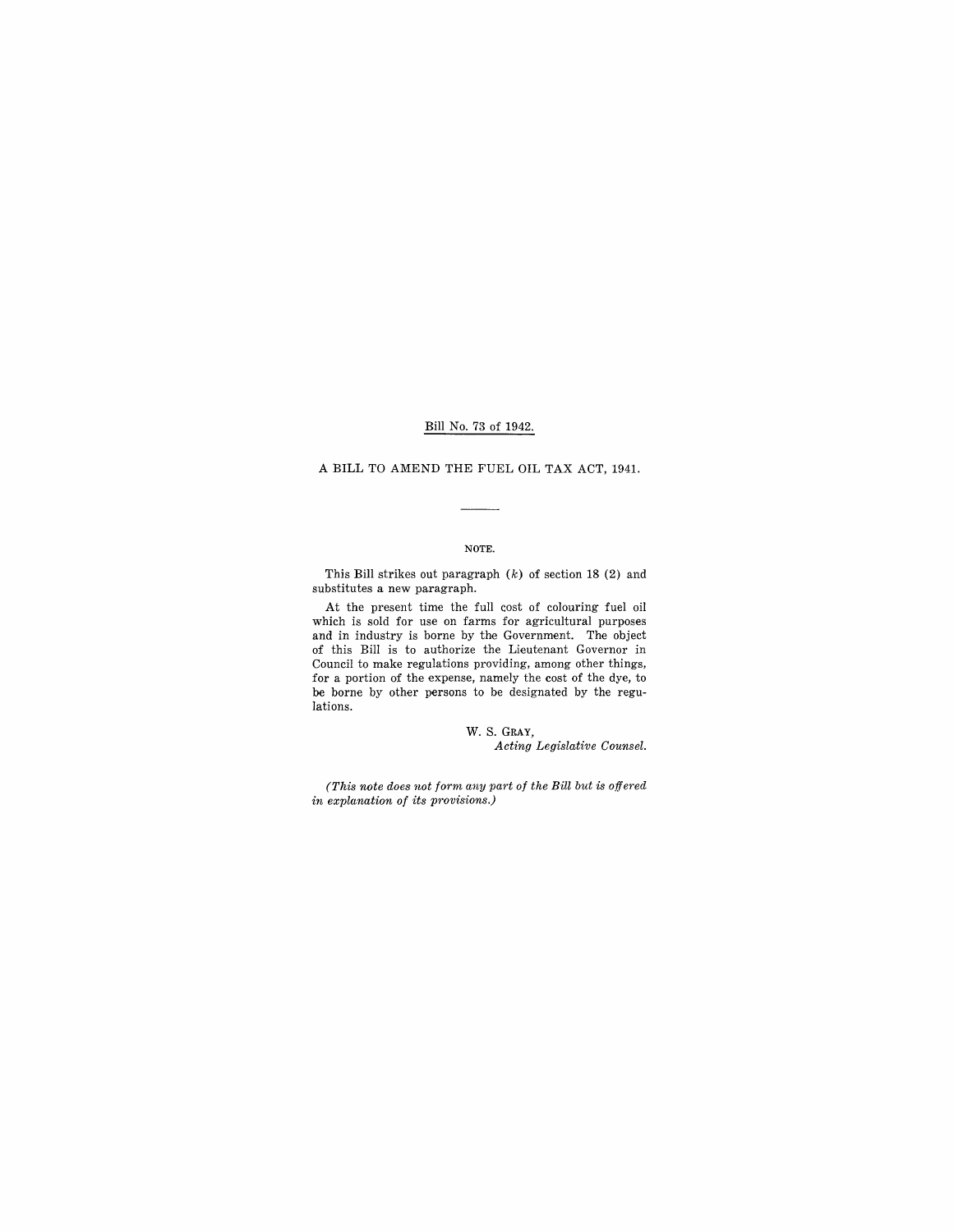### Bill No. 73 of 1942.

#### A **BILL** TO AMEND THE FUEL OIL TAX ACT, 1941.

#### NOTE.

This Bill strikes out paragraph  $(k)$  of section 18 (2) and substitutes a new paragraph.

At the present time the full cost of colouring fuel oil which is sold for use on farms for agricultural purposes and in industry is borne by the Government. The object of this Bill is to authorize the Lieutenant Governor in Council to make regulations providing, among other things, for a portion of the expense, namely the cost of the dye, to be borne by other persons to be designated by the regulations.

> w. S. GRAY, *Acting Legislative Counsel.*

*(This note does not form any part of the Bill but is offered in explanation of its provisions.)*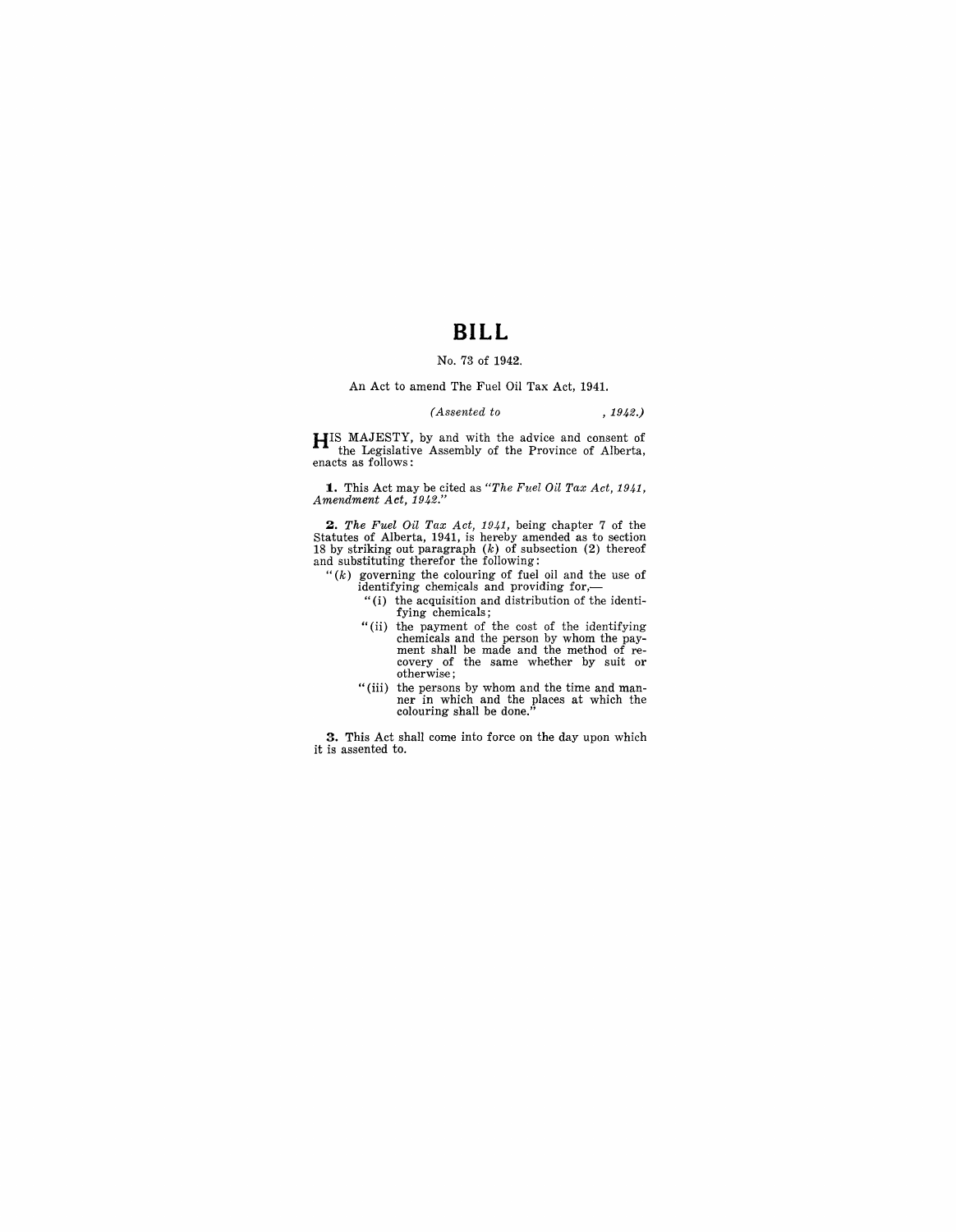## **BILL**

#### No. 73 of 1942.

#### An Act to amend The Fuel Oil Tax Act, 1941.

#### *(Assented to* , 1942.)

HIS MAJESTY, by and with the advice and consent of the Legislative Assembly of the Province of Alberta, enacts as follows:

**1.** This Act may be cited as *"The Fuel Oil Tax Act, 1941, Amendment Act, 1942."* 

**2.** The Fuel Oil Tax Act, 1941, being chapter 7 of the Statutes of Alberta, 1941, is hereby amended as to section 18 by striking out paragraph  $(k)$  of subsection (2) thereof and substituting therefor the following:

" $(k)$  governing the colouring of fuel oil and the use of identifying chemicals and providing for,-

- "(i) the acquisition and distribution of the identifying chemicals;
- "(ii) the payment of the cost of the identifying chemicals and the person by whom the pay-ment shall be made and the method of re- covery of the same whether by suit or otherwise;
- "(iii) the persons by whom and the time and man- ner in which and the places at which the colouring shall be done."

**3.** This Act shall come into force on the day upon which it is assented to.